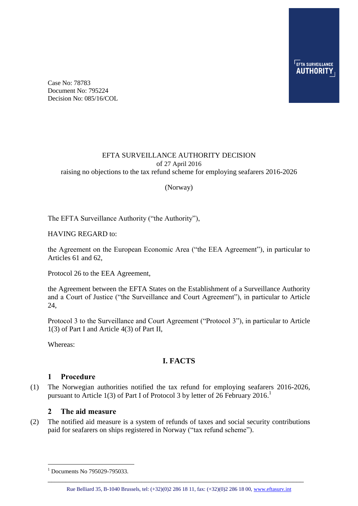Case No: 78783 Document No: 795224 Decision No: 085/16/COL

### EFTA SURVEILLANCE AUTHORITY DECISION of 27 April 2016 raising no objections to the tax refund scheme for employing seafarers 2016-2026

(Norway)

The EFTA Surveillance Authority ("the Authority"),

HAVING REGARD to:

the Agreement on the European Economic Area ("the EEA Agreement"), in particular to Articles 61 and 62,

Protocol 26 to the EEA Agreement,

the Agreement between the EFTA States on the Establishment of a Surveillance Authority and a Court of Justice ("the Surveillance and Court Agreement"), in particular to Article 24,

Protocol 3 to the Surveillance and Court Agreement ("Protocol 3"), in particular to Article 1(3) of Part I and Article 4(3) of Part II,

Whereas:

1

# **I. FACTS**

### **1 Procedure**

(1) The Norwegian authorities notified the tax refund for employing seafarers 2016-2026, pursuant to Article 1(3) of Part I of Protocol 3 by letter of 26 February 2016.

### **2 The aid measure**

(2) The notified aid measure is a system of refunds of taxes and social security contributions paid for seafarers on ships registered in Norway ("tax refund scheme").

\_\_\_\_\_\_\_\_\_\_\_\_\_\_\_\_\_\_\_\_\_\_\_\_\_\_\_\_\_\_\_\_\_\_\_\_\_\_\_\_\_\_\_\_\_\_\_\_\_\_\_\_\_\_\_\_\_\_\_\_\_\_\_\_\_\_\_\_\_\_\_

 $1$  Documents No 795029-795033.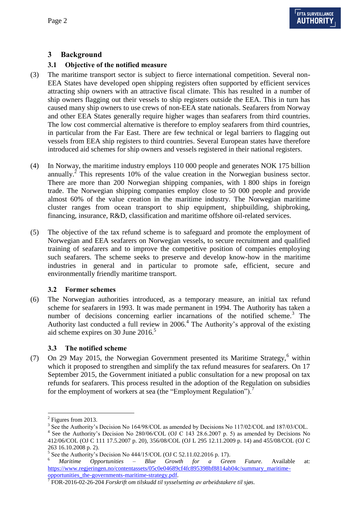# **3 Background**

## **3.1 Objective of the notified measure**

- (3) The maritime transport sector is subject to fierce international competition. Several non-EEA States have developed open shipping registers often supported by efficient services attracting ship owners with an attractive fiscal climate. This has resulted in a number of ship owners flagging out their vessels to ship registers outside the EEA. This in turn has caused many ship owners to use crews of non-EEA state nationals. Seafarers from Norway and other EEA States generally require higher wages than seafarers from third countries. The low cost commercial alternative is therefore to employ seafarers from third countries, in particular from the Far East. There are few technical or legal barriers to flagging out vessels from EEA ship registers to third countries. Several European states have therefore introduced aid schemes for ship owners and vessels registered in their national registers.
- (4) In Norway, the maritime industry employs 110 000 people and generates NOK 175 billion annually.<sup>2</sup> This represents 10% of the value creation in the Norwegian business sector. There are more than 200 Norwegian shipping companies, with 1 800 ships in foreign trade. The Norwegian shipping companies employ close to 50 000 people and provide almost 60% of the value creation in the maritime industry. The Norwegian maritime cluster ranges from ocean transport to ship equipment, shipbuilding, shipbroking, financing, insurance, R&D, classification and maritime offshore oil-related services.
- (5) The objective of the tax refund scheme is to safeguard and promote the employment of Norwegian and EEA seafarers on Norwegian vessels, to secure recruitment and qualified training of seafarers and to improve the competitive position of companies employing such seafarers. The scheme seeks to preserve and develop know-how in the maritime industries in general and in particular to promote safe, efficient, secure and environmentally friendly maritime transport.

## **3.2 Former schemes**

(6) The Norwegian authorities introduced, as a temporary measure, an initial tax refund scheme for seafarers in 1993. It was made permanent in 1994. The Authority has taken a number of decisions concerning earlier incarnations of the notified scheme.<sup>3</sup> The Authority last conducted a full review in  $2006<sup>4</sup>$ . The Authority's approval of the existing aid scheme expires on 30 June  $2016<sup>5</sup>$ 

## **3.3 The notified scheme**

(7) On 29 May 2015, the Norwegian Government presented its Maritime Strategy, $6$  within which it proposed to strengthen and simplify the tax refund measures for seafarers. On 17 September 2015, the Government initiated a public consultation for a new proposal on tax refunds for seafarers. This process resulted in the adoption of the Regulation on subsidies for the employment of workers at sea (the "Employment Regulation").<sup>7</sup>

<sup>&</sup>lt;sup>2</sup> Figures from 2013.

<sup>&</sup>lt;sup>3</sup> See the Authority's Decision No 164/98/COL as amended by Decisions No 117/02/COL and 187/03/COL.

<sup>&</sup>lt;sup>4</sup> See the Authority's Decision No 280/06/COL (OJ C 143 28.6.2007 p. 5) as amended by Decisions No 412/06/COL (OJ C 111 17.5.2007 p. 20), 356/08/COL (OJ L 295 12.11.2009 p. 14) and 455/08/COL (OJ C 263 16.10.2008 p. 2).

<sup>5</sup> See the Authority's Decision No 444/15/COL (OJ C 52.11.02.2016 p. 17).

<sup>6</sup> *Maritime Opportunities – Blue Growth for a Green Future.* Available at: [https://www.regjeringen.no/contentassets/05c0e04689cf4fc895398bf8814ab04c/summary\\_maritime-](https://www.regjeringen.no/contentassets/05c0e04689cf4fc895398bf8814ab04c/summary_maritime-opportunities_the-governments-maritime-strategy.pdf)

[opportunities\\_the-governments-maritime-strategy.pdf.](https://www.regjeringen.no/contentassets/05c0e04689cf4fc895398bf8814ab04c/summary_maritime-opportunities_the-governments-maritime-strategy.pdf) 7 FOR-2016-02-26-204 *Forskrift om tilskudd til sysselsetting av arbeidstakere til sjøs*.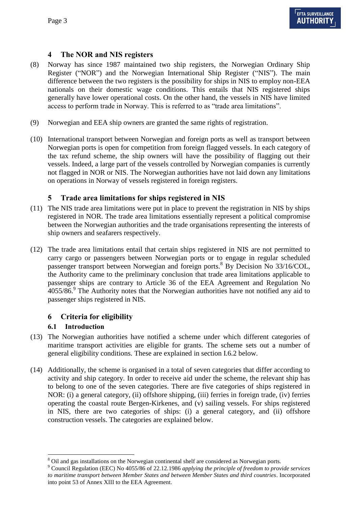## **4 The NOR and NIS registers**

- (8) Norway has since 1987 maintained two ship registers, the Norwegian Ordinary Ship Register ("NOR") and the Norwegian International Ship Register ("NIS"). The main difference between the two registers is the possibility for ships in NIS to employ non-EEA nationals on their domestic wage conditions. This entails that NIS registered ships generally have lower operational costs. On the other hand, the vessels in NIS have limited access to perform trade in Norway. This is referred to as "trade area limitations".
- (9) Norwegian and EEA ship owners are granted the same rights of registration.
- <span id="page-2-2"></span>(10) International transport between Norwegian and foreign ports as well as transport between Norwegian ports is open for competition from foreign flagged vessels. In each category of the tax refund scheme, the ship owners will have the possibility of flagging out their vessels. Indeed, a large part of the vessels controlled by Norwegian companies is currently not flagged in NOR or NIS. The Norwegian authorities have not laid down any limitations on operations in Norway of vessels registered in foreign registers.

## <span id="page-2-0"></span>**5 Trade area limitations for ships registered in NIS**

- (11) The NIS trade area limitations were put in place to prevent the registration in NIS by ships registered in NOR. The trade area limitations essentially represent a political compromise between the Norwegian authorities and the trade organisations representing the interests of ship owners and seafarers respectively.
- <span id="page-2-1"></span>(12) The trade area limitations entail that certain ships registered in NIS are not permitted to carry cargo or passengers between Norwegian ports or to engage in regular scheduled passenger transport between Norwegian and foreign ports.<sup>8</sup> By Decision No 33/16/COL, the Authority came to the preliminary conclusion that trade area limitations applicable to passenger ships are contrary to Article 36 of the EEA Agreement and Regulation No  $4055/86$ . The Authority notes that the Norwegian authorities have not notified any aid to passenger ships registered in NIS.

## **6 Criteria for eligibility**

### **6.1 Introduction**

- (13) The Norwegian authorities have notified a scheme under which different categories of maritime transport activities are eligible for grants. The scheme sets out a number of general eligibility conditions. These are explained in section I[.6.2](#page-3-0) below.
- (14) Additionally, the scheme is organised in a total of seven categories that differ according to activity and ship category. In order to receive aid under the scheme, the relevant ship has to belong to one of the seven categories. There are five categories of ships registered in NOR: (i) a general category, (ii) offshore shipping, (iii) ferries in foreign trade, (iv) ferries operating the coastal route Bergen-Kirkenes, and (v) sailing vessels. For ships registered in NIS, there are two categories of ships: (i) a general category, and (ii) offshore construction vessels. The categories are explained below.

<sup>&</sup>lt;sup>8</sup> Oil and gas installations on the Norwegian continental shelf are considered as Norwegian ports.

<sup>9</sup> Council Regulation (EEC) No 4055/86 of 22.12.1986 *applying the principle of freedom to provide services to maritime transport between Member States and between Member States and third countries*. Incorporated into point 53 of Annex XIII to the EEA Agreement.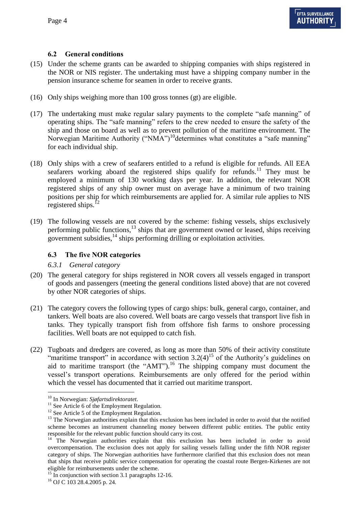## <span id="page-3-0"></span>**6.2 General conditions**

- (15) Under the scheme grants can be awarded to shipping companies with ships registered in the NOR or NIS register. The undertaking must have a shipping company number in the pension insurance scheme for seamen in order to receive grants.
- (16) Only ships weighing more than 100 gross tonnes (gt) are eligible.
- <span id="page-3-1"></span>(17) The undertaking must make regular salary payments to the complete "safe manning" of operating ships. The "safe manning" refers to the crew needed to ensure the safety of the ship and those on board as well as to prevent pollution of the maritime environment. The Norwegian Maritime Authority ("NMA")<sup>10</sup>determines what constitutes a "safe manning" for each individual ship.
- (18) Only ships with a crew of seafarers entitled to a refund is eligible for refunds. All EEA seafarers working aboard the registered ships qualify for refunds.<sup>11</sup> They must be employed a minimum of 130 working days per year. In addition, the relevant NOR registered ships of any ship owner must on average have a minimum of two training positions per ship for which reimbursements are applied for. A similar rule applies to NIS registered ships. $^{12}$
- (19) The following vessels are not covered by the scheme: fishing vessels, ships exclusively performing public functions,<sup>13</sup> ships that are government owned or leased, ships receiving government subsidies,  $\frac{1}{4}$  ships performing drilling or exploitation activities.

## **6.3 The five NOR categories**

### <span id="page-3-2"></span>*6.3.1 General category*

- (20) The general category for ships registered in NOR covers all vessels engaged in transport of goods and passengers (meeting the general conditions listed above) that are not covered by other NOR categories of ships.
- (21) The category covers the following types of cargo ships: bulk, general cargo, container, and tankers. Well boats are also covered. Well boats are cargo vessels that transport live fish in tanks. They typically transport fish from offshore fish farms to onshore processing facilities. Well boats are not equipped to catch fish.
- <span id="page-3-3"></span>(22) Tugboats and dredgers are covered, as long as more than 50% of their activity constitute "maritime transport" in accordance with section  $3.2(4)$ <sup>15</sup> of the Authority's guidelines on aid to maritime transport (the "AMT").<sup>16</sup> The shipping company must document the vessel's transport operations. Reimbursements are only offered for the period within which the vessel has documented that it carried out maritime transport.

<sup>10</sup> In Norwegian: *Sjøfartsdirektoratet*.

<sup>&</sup>lt;sup>11</sup> See Article 6 of the Employment Regulation.

<sup>&</sup>lt;sup>12</sup> See Article 5 of the Employment Regulation.

<sup>&</sup>lt;sup>13</sup> The Norwegian authorities explain that this exclusion has been included in order to avoid that the notified scheme becomes an instrument channeling money between different public entities. The public entity responsible for the relevant public function should carry its cost.

<sup>&</sup>lt;sup>14</sup> The Norwegian authorities explain that this exclusion has been included in order to avoid overcompensation. The exclusion does not apply for sailing vessels falling under the fifth NOR register category of ships. The Norwegian authorities have furthermore clarified that this exclusion does not mean that ships that receive public service compensation for operating the coastal route Bergen-Kirkenes are not eligible for reimbursements under the scheme.

<sup>&</sup>lt;sup>15</sup> In conjunction with section 3.1 paragraphs 12-16.

<sup>16</sup> OJ C 103 28.4.2005 p. 24.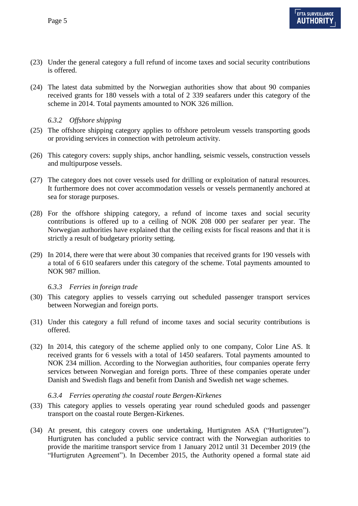- (23) Under the general category a full refund of income taxes and social security contributions is offered.
- (24) The latest data submitted by the Norwegian authorities show that about 90 companies received grants for 180 vessels with a total of 2 339 seafarers under this category of the scheme in 2014. Total payments amounted to NOK 326 million.

### <span id="page-4-2"></span>*6.3.2 Offshore shipping*

- (25) The offshore shipping category applies to offshore petroleum vessels transporting goods or providing services in connection with petroleum activity.
- (26) This category covers: supply ships, anchor handling, seismic vessels, construction vessels and multipurpose vessels.
- (27) The category does not cover vessels used for drilling or exploitation of natural resources. It furthermore does not cover accommodation vessels or vessels permanently anchored at sea for storage purposes.
- (28) For the offshore shipping category, a refund of income taxes and social security contributions is offered up to a ceiling of NOK 208 000 per seafarer per year. The Norwegian authorities have explained that the ceiling exists for fiscal reasons and that it is strictly a result of budgetary priority setting.
- (29) In 2014, there were that were about 30 companies that received grants for 190 vessels with a total of 6 610 seafarers under this category of the scheme. Total payments amounted to NOK 987 million.

#### <span id="page-4-0"></span>*6.3.3 Ferries in foreign trade*

- (30) This category applies to vessels carrying out scheduled passenger transport services between Norwegian and foreign ports.
- (31) Under this category a full refund of income taxes and social security contributions is offered.
- (32) In 2014, this category of the scheme applied only to one company, Color Line AS. It received grants for 6 vessels with a total of 1450 seafarers. Total payments amounted to NOK 234 million. According to the Norwegian authorities, four companies operate ferry services between Norwegian and foreign ports. Three of these companies operate under Danish and Swedish flags and benefit from Danish and Swedish net wage schemes.

### <span id="page-4-1"></span>*6.3.4 Ferries operating the coastal route Bergen-Kirkenes*

- (33) This category applies to vessels operating year round scheduled goods and passenger transport on the coastal route Bergen-Kirkenes.
- <span id="page-4-3"></span>(34) At present, this category covers one undertaking, Hurtigruten ASA ("Hurtigruten"). Hurtigruten has concluded a public service contract with the Norwegian authorities to provide the maritime transport service from 1 January 2012 until 31 December 2019 (the "Hurtigruten Agreement"). In December 2015, the Authority opened a formal state aid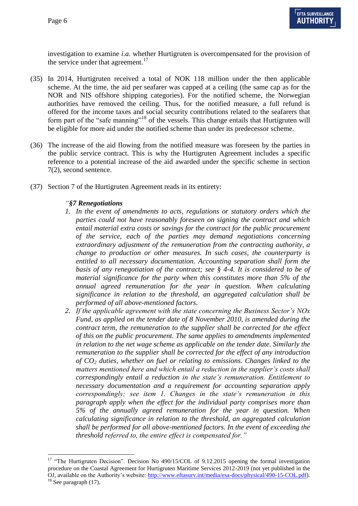<u>.</u>

investigation to examine *i.a.* whether Hurtigruten is overcompensated for the provision of the service under that agreement.<sup>17</sup>

- <span id="page-5-0"></span>(35) In 2014, Hurtigruten received a total of NOK 118 million under the then applicable scheme. At the time, the aid per seafarer was capped at a ceiling (the same cap as for the NOR and NIS offshore shipping categories). For the notified scheme, the Norwegian authorities have removed the ceiling. Thus, for the notified measure, a full refund is offered for the income taxes and social security contributions related to the seafarers that form part of the "safe manning"<sup>18</sup> of the vessels. This change entails that Hurtigruten will be eligible for more aid under the notified scheme than under its predecessor scheme.
- (36) The increase of the aid flowing from the notified measure was foreseen by the parties in the public service contract. This is why the Hurtigruten Agreement includes a specific reference to a potential increase of the aid awarded under the specific scheme in section 7(2), second sentence.
- (37) Section 7 of the Hurtigruten Agreement reads in its entirety:

### *"§7 Renegotiations*

- *1. In the event of amendments to acts, regulations or statutory orders which the parties could not have reasonably foreseen on signing the contract and which entail material extra costs or savings for the contract for the public procurement of the service, each of the parties may demand negotiations concerning extraordinary adjustment of the remuneration from the contracting authority, a change to production or other measures. In such cases, the counterparty is entitled to all necessary documentation. Accounting separation shall form the basis of any renegotiation of the contract; see § 4-4. It is considered to be of material significance for the party when this constitutes more than 5% of the annual agreed remuneration for the year in question. When calculating significance in relation to the threshold, an aggregated calculation shall be performed of all above-mentioned factors.*
- *2. If the applicable agreement with the state concerning the Business Sector's NOx Fund, as applied on the tender date of 8 November 2010, is amended during the contract term, the remuneration to the supplier shall be corrected for the effect of this on the public procurement. The same applies to amendments implemented in relation to the net wage scheme as applicable on the tender date. Similarly the remuneration to the supplier shall be corrected for the effect of any introduction of CO<sup>2</sup> duties, whether on fuel or relating to emissions. Changes linked to the matters mentioned here and which entail a reduction in the supplier's costs shall correspondingly entail a reduction in the state's remuneration. Entitlement to necessary documentation and a requirement for accounting separation apply correspondingly; see item 1. Changes in the state's remuneration in this paragraph apply when the effect for the individual party comprises more than 5% of the annually agreed remuneration for the year in question. When calculating significance in relation to the threshold, an aggregated calculation shall be performed for all above-mentioned factors. In the event of exceeding the threshold referred to, the entire effect is compensated for."*

<sup>&</sup>lt;sup>17</sup> "The Hurtigruten Decision". Decision No 490/15/COL of 9.12.2015 opening the formal investigation procedure on the Coastal Agreement for Hurtigruten Maritime Services 2012-2019 (not yet published in the OJ, available on the Authority's website: [http://www.eftasurv.int/media/esa-docs/physical/490-15-COL.pdf\)](http://www.eftasurv.int/media/esa-docs/physical/490-15-COL.pdf).  $18$  See paragraph [\(17\).](#page-3-1)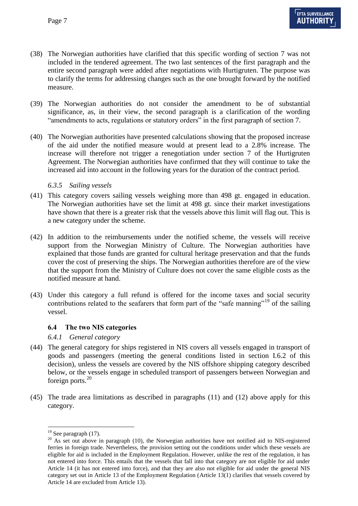- (38) The Norwegian authorities have clarified that this specific wording of section 7 was not included in the tendered agreement. The two last sentences of the first paragraph and the entire second paragraph were added after negotiations with Hurtigruten. The purpose was to clarify the terms for addressing changes such as the one brought forward by the notified measure.
- (39) The Norwegian authorities do not consider the amendment to be of substantial significance, as, in their view, the second paragraph is a clarification of the wording "amendments to acts, regulations or statutory orders" in the first paragraph of section 7.
- <span id="page-6-2"></span>(40) The Norwegian authorities have presented calculations showing that the proposed increase of the aid under the notified measure would at present lead to a 2.8% increase. The increase will therefore not trigger a renegotiation under section 7 of the Hurtigruten Agreement. The Norwegian authorities have confirmed that they will continue to take the increased aid into account in the following years for the duration of the contract period.

#### <span id="page-6-1"></span>*6.3.5 Sailing vessels*

- (41) This category covers sailing vessels weighing more than 498 gt. engaged in education. The Norwegian authorities have set the limit at 498 gt. since their market investigations have shown that there is a greater risk that the vessels above this limit will flag out. This is a new category under the scheme.
- <span id="page-6-3"></span>(42) In addition to the reimbursements under the notified scheme, the vessels will receive support from the Norwegian Ministry of Culture. The Norwegian authorities have explained that those funds are granted for cultural heritage preservation and that the funds cover the cost of preserving the ships. The Norwegian authorities therefore are of the view that the support from the Ministry of Culture does not cover the same eligible costs as the notified measure at hand.
- (43) Under this category a full refund is offered for the income taxes and social security contributions related to the seafarers that form part of the "safe manning"<sup>19</sup> of the sailing vessel.

#### **6.4 The two NIS categories**

#### <span id="page-6-0"></span>*6.4.1 General category*

- (44) The general category for ships registered in NIS covers all vessels engaged in transport of goods and passengers (meeting the general conditions listed in section I[.6.2](#page-3-0) of this decision), unless the vessels are covered by the NIS offshore shipping category described below, or the vessels engage in scheduled transport of passengers between Norwegian and foreign ports.<sup>20</sup>
- (45) The trade area limitations as described in paragraphs [\(11\)](#page-2-0) and [\(12\)](#page-2-1) above apply for this category.

1

 $19$  See paragraph [\(17\).](#page-3-1)

<sup>&</sup>lt;sup>20</sup> As set out above in paragraph [\(10\),](#page-2-2) the Norwegian authorities have not notified aid to NIS-registered ferries in foreign trade. Nevertheless, the provision setting out the conditions under which these vessels are eligible for aid is included in the Employment Regulation. However, unlike the rest of the regulation, it has not entered into force. This entails that the vessels that fall into that category are not eligible for aid under Article 14 (it has not entered into force), and that they are also not eligible for aid under the general NIS category set out in Article 13 of the Employment Regulation (Article 13(1) clarifies that vessels covered by Article 14 are excluded from Article 13).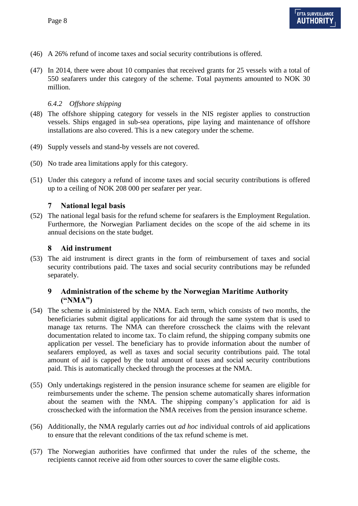- (46) A 26% refund of income taxes and social security contributions is offered.
- (47) In 2014, there were about 10 companies that received grants for 25 vessels with a total of 550 seafarers under this category of the scheme. Total payments amounted to NOK 30 million.

## <span id="page-7-0"></span>*6.4.2 Offshore shipping*

- (48) The offshore shipping category for vessels in the NIS register applies to construction vessels. Ships engaged in sub-sea operations, pipe laying and maintenance of offshore installations are also covered. This is a new category under the scheme.
- (49) Supply vessels and stand-by vessels are not covered.
- (50) No trade area limitations apply for this category.
- (51) Under this category a refund of income taxes and social security contributions is offered up to a ceiling of NOK 208 000 per seafarer per year.

## **7 National legal basis**

(52) The national legal basis for the refund scheme for seafarers is the Employment Regulation. Furthermore, the Norwegian Parliament decides on the scope of the aid scheme in its annual decisions on the state budget.

### **8 Aid instrument**

(53) The aid instrument is direct grants in the form of reimbursement of taxes and social security contributions paid. The taxes and social security contributions may be refunded separately.

## **9 Administration of the scheme by the Norwegian Maritime Authority ("NMA")**

- (54) The scheme is administered by the NMA. Each term, which consists of two months, the beneficiaries submit digital applications for aid through the same system that is used to manage tax returns. The NMA can therefore crosscheck the claims with the relevant documentation related to income tax. To claim refund, the shipping company submits one application per vessel. The beneficiary has to provide information about the number of seafarers employed, as well as taxes and social security contributions paid. The total amount of aid is capped by the total amount of taxes and social security contributions paid. This is automatically checked through the processes at the NMA.
- (55) Only undertakings registered in the pension insurance scheme for seamen are eligible for reimbursements under the scheme. The pension scheme automatically shares information about the seamen with the NMA. The shipping company's application for aid is crosschecked with the information the NMA receives from the pension insurance scheme.
- (56) Additionally, the NMA regularly carries out *ad hoc* individual controls of aid applications to ensure that the relevant conditions of the tax refund scheme is met.
- (57) The Norwegian authorities have confirmed that under the rules of the scheme, the recipients cannot receive aid from other sources to cover the same eligible costs.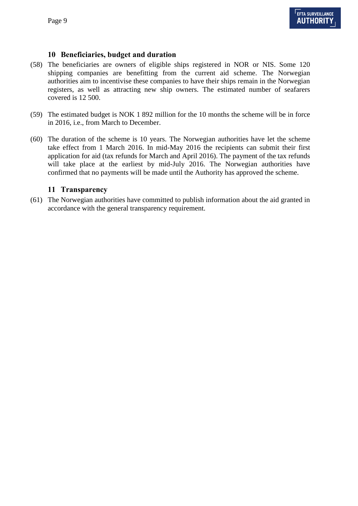## **10 Beneficiaries, budget and duration**

- (58) The beneficiaries are owners of eligible ships registered in NOR or NIS. Some 120 shipping companies are benefitting from the current aid scheme. The Norwegian authorities aim to incentivise these companies to have their ships remain in the Norwegian registers, as well as attracting new ship owners. The estimated number of seafarers covered is 12 500.
- (59) The estimated budget is NOK 1 892 million for the 10 months the scheme will be in force in 2016, i.e., from March to December.
- (60) The duration of the scheme is 10 years. The Norwegian authorities have let the scheme take effect from 1 March 2016. In mid-May 2016 the recipients can submit their first application for aid (tax refunds for March and April 2016). The payment of the tax refunds will take place at the earliest by mid-July 2016. The Norwegian authorities have confirmed that no payments will be made until the Authority has approved the scheme.

### **11 Transparency**

(61) The Norwegian authorities have committed to publish information about the aid granted in accordance with the general transparency requirement.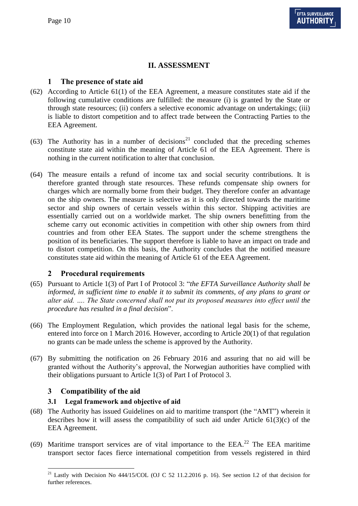## **II. ASSESSMENT**

## **1 The presence of state aid**

- (62) According to Article 61(1) of the EEA Agreement, a measure constitutes state aid if the following cumulative conditions are fulfilled: the measure (i) is granted by the State or through state resources; (ii) confers a selective economic advantage on undertakings; (iii) is liable to distort competition and to affect trade between the Contracting Parties to the EEA Agreement.
- (63) The Authority has in a number of decisions<sup>21</sup> concluded that the preceding schemes constitute state aid within the meaning of Article 61 of the EEA Agreement. There is nothing in the current notification to alter that conclusion.
- (64) The measure entails a refund of income tax and social security contributions. It is therefore granted through state resources. These refunds compensate ship owners for charges which are normally borne from their budget. They therefore confer an advantage on the ship owners. The measure is selective as it is only directed towards the maritime sector and ship owners of certain vessels within this sector. Shipping activities are essentially carried out on a worldwide market. The ship owners benefitting from the scheme carry out economic activities in competition with other ship owners from third countries and from other EEA States. The support under the scheme strengthens the position of its beneficiaries. The support therefore is liable to have an impact on trade and to distort competition. On this basis, the Authority concludes that the notified measure constitutes state aid within the meaning of Article 61 of the EEA Agreement.

## **2 Procedural requirements**

- (65) Pursuant to Article 1(3) of Part I of Protocol 3: "*the EFTA Surveillance Authority shall be informed, in sufficient time to enable it to submit its comments, of any plans to grant or alter aid. …. The State concerned shall not put its proposed measures into effect until the procedure has resulted in a final decision*".
- (66) The Employment Regulation, which provides the national legal basis for the scheme, entered into force on 1 March 2016. However, according to Article 20(1) of that regulation no grants can be made unless the scheme is approved by the Authority.
- (67) By submitting the notification on 26 February 2016 and assuring that no aid will be granted without the Authority's approval, the Norwegian authorities have complied with their obligations pursuant to Article 1(3) of Part I of Protocol 3.

## **3 Compatibility of the aid**

### **3.1 Legal framework and objective of aid**

- (68) The Authority has issued Guidelines on aid to maritime transport (the "AMT") wherein it describes how it will assess the compatibility of such aid under Article  $61(3)(c)$  of the EEA Agreement.
- (69) Maritime transport services are of vital importance to the EEA.<sup>22</sup> The EEA maritime transport sector faces fierce international competition from vessels registered in third

<sup>1</sup>  $21$  Lastly with Decision No 444/15/COL (OJ C 52 11.2.2016 p. 16). See section I.2 of that decision for further references.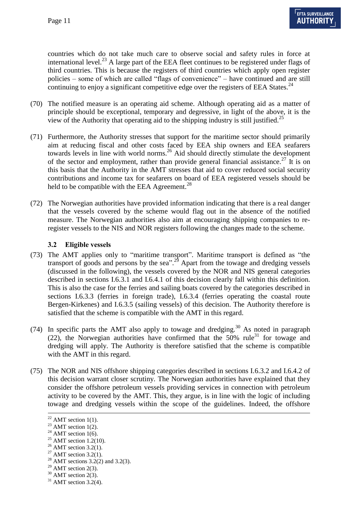countries which do not take much care to observe social and safety rules in force at international level.<sup>23</sup> A large part of the EEA fleet continues to be registered under flags of third countries. This is because the registers of third countries which apply open register policies – some of which are called "flags of convenience" – have continued and are still continuing to enjoy a significant competitive edge over the registers of EEA States.<sup>24</sup>

- (70) The notified measure is an operating aid scheme. Although operating aid as a matter of principle should be exceptional, temporary and degressive, in light of the above, it is the view of the Authority that operating aid to the shipping industry is still justified.<sup>25</sup>
- (71) Furthermore, the Authority stresses that support for the maritime sector should primarily aim at reducing fiscal and other costs faced by EEA ship owners and EEA seafarers towards levels in line with world norms.<sup>26</sup> Aid should directly stimulate the development of the sector and employment, rather than provide general financial assistance.<sup>27</sup> It is on this basis that the Authority in the AMT stresses that aid to cover reduced social security contributions and income tax for seafarers on board of EEA registered vessels should be held to be compatible with the EEA Agreement.<sup>28</sup>
- (72) The Norwegian authorities have provided information indicating that there is a real danger that the vessels covered by the scheme would flag out in the absence of the notified measure. The Norwegian authorities also aim at encouraging shipping companies to reregister vessels to the NIS and NOR registers following the changes made to the scheme.

### **3.2 Eligible vessels**

- (73) The AMT applies only to "maritime transport". Maritime transport is defined as "the transport of goods and persons by the sea<sup>". 29</sup> Apart from the towage and dredging vessels (discussed in the following), the vessels covered by the NOR and NIS general categories described in sections I[.6.3.1](#page-3-2) and I[.6.4.1](#page-6-0) of this decision clearly fall within this definition. This is also the case for the ferries and sailing boats covered by the categories described in sections I[.6.3.3](#page-4-0) (ferries in foreign trade), I[.6.3.4](#page-4-1) (ferries operating the coastal route Bergen-Kirkenes) and I[.6.3.5](#page-6-1) (sailing vessels) of this decision. The Authority therefore is satisfied that the scheme is compatible with the AMT in this regard.
- (74) In specific parts the AMT also apply to towage and dredging.<sup>30</sup> As noted in paragraph [\(22\),](#page-3-3) the Norwegian authorities have confirmed that the 50% rule<sup>31</sup> for towage and dredging will apply. The Authority is therefore satisfied that the scheme is compatible with the AMT in this regard.
- (75) The NOR and NIS offshore shipping categories described in sections I[.6.3.2](#page-4-2) and I[.6.4.2](#page-7-0) of this decision warrant closer scrutiny. The Norwegian authorities have explained that they consider the offshore petroleum vessels providing services in connection with petroleum activity to be covered by the AMT. This, they argue, is in line with the logic of including towage and dredging vessels within the scope of the guidelines. Indeed, the offshore

 $22$  AMT section 1(1).

 $23$  AMT section 1(2).

<sup>&</sup>lt;sup>24</sup> AMT section 1(6).

 $25$  AMT section 1.2(10).

 $26$  AMT section 3.2(1).

 $27$  AMT section 3.2(1).

<sup>&</sup>lt;sup>28</sup> AMT sections 3.2(2) and 3.2(3).

 $29$  AMT section 2(3).

 $30$  AMT section 2(3).

 $31$  AMT section 3.2(4).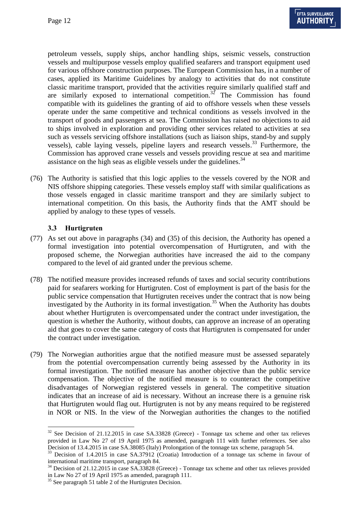petroleum vessels, supply ships, anchor handling ships, seismic vessels, construction vessels and multipurpose vessels employ qualified seafarers and transport equipment used for various offshore construction purposes. The European Commission has, in a number of cases, applied its Maritime Guidelines by analogy to activities that do not constitute classic maritime transport, provided that the activities require similarly qualified staff and are similarly exposed to international competition.<sup>32</sup> The Commission has found compatible with its guidelines the granting of aid to offshore vessels when these vessels operate under the same competitive and technical conditions as vessels involved in the transport of goods and passengers at sea. The Commission has raised no objections to aid to ships involved in exploration and providing other services related to activities at sea such as vessels servicing offshore installations (such as liaison ships, stand-by and supply vessels), cable laying vessels, pipeline layers and research vessels.<sup>33</sup> Furthermore, the Commission has approved crane vessels and vessels providing rescue at sea and maritime assistance on the high seas as eligible vessels under the guidelines.<sup>34</sup>

(76) The Authority is satisfied that this logic applies to the vessels covered by the NOR and NIS offshore shipping categories. These vessels employ staff with similar qualifications as those vessels engaged in classic maritime transport and they are similarly subject to international competition. On this basis, the Authority finds that the AMT should be applied by analogy to these types of vessels.

### **3.3 Hurtigruten**

1

- (77) As set out above in paragraphs [\(34\)](#page-4-3) and [\(35\)](#page-5-0) of this decision, the Authority has opened a formal investigation into potential overcompensation of Hurtigruten, and with the proposed scheme, the Norwegian authorities have increased the aid to the company compared to the level of aid granted under the previous scheme.
- (78) The notified measure provides increased refunds of taxes and social security contributions paid for seafarers working for Hurtigruten. Cost of employment is part of the basis for the public service compensation that Hurtigruten receives under the contract that is now being investigated by the Authority in its formal investigation.<sup>35</sup> When the Authority has doubts about whether Hurtigruten is overcompensated under the contract under investigation, the question is whether the Authority, without doubts, can approve an increase of an operating aid that goes to cover the same category of costs that Hurtigruten is compensated for under the contract under investigation.
- (79) The Norwegian authorities argue that the notified measure must be assessed separately from the potential overcompensation currently being assessed by the Authority in its formal investigation. The notified measure has another objective than the public service compensation. The objective of the notified measure is to counteract the competitive disadvantages of Norwegian registered vessels in general. The competitive situation indicates that an increase of aid is necessary. Without an increase there is a genuine risk that Hurtigruten would flag out. Hurtigruten is not by any means required to be registered in NOR or NIS. In the view of the Norwegian authorities the changes to the notified

<sup>&</sup>lt;sup>32</sup> See Decision of 21.12.2015 in case SA.33828 (Greece) - Tonnage tax scheme and other tax relieves provided in Law No 27 of 19 April 1975 as amended, paragraph 111 with further references. See also Decision of 13.4.2015 in case SA.38085 (Italy) Prolongation of the tonnage tax scheme, paragraph 54.

<sup>&</sup>lt;sup>33</sup> Decision of 1.4.2015 in case SA.37912 (Croatia) Introduction of a tonnage tax scheme in favour of international maritime transport, paragraph 84.

<sup>&</sup>lt;sup>34</sup> Decision of 21.12.2015 in case SA.33828 (Greece) - Tonnage tax scheme and other tax relieves provided in Law No 27 of 19 April 1975 as amended, paragraph 111.

<sup>&</sup>lt;sup>35</sup> See paragraph 51 table 2 of the Hurtigruten Decision.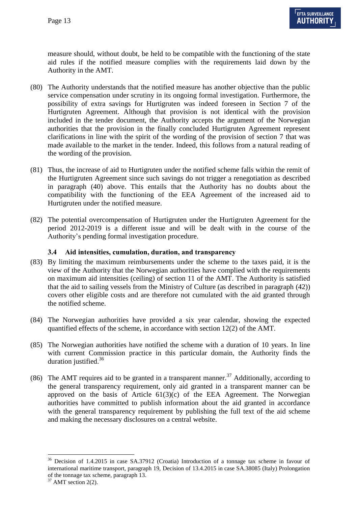measure should, without doubt, be held to be compatible with the functioning of the state aid rules if the notified measure complies with the requirements laid down by the Authority in the AMT.

- (80) The Authority understands that the notified measure has another objective than the public service compensation under scrutiny in its ongoing formal investigation. Furthermore, the possibility of extra savings for Hurtigruten was indeed foreseen in Section 7 of the Hurtigruten Agreement. Although that provision is not identical with the provision included in the tender document, the Authority accepts the argument of the Norwegian authorities that the provision in the finally concluded Hurtigruten Agreement represent clarifications in line with the spirit of the wording of the provision of section 7 that was made available to the market in the tender. Indeed, this follows from a natural reading of the wording of the provision.
- (81) Thus, the increase of aid to Hurtigruten under the notified scheme falls within the remit of the Hurtigruten Agreement since such savings do not trigger a renegotiation as described in paragraph [\(40\)](#page-6-2) above. This entails that the Authority has no doubts about the compatibility with the functioning of the EEA Agreement of the increased aid to Hurtigruten under the notified measure.
- (82) The potential overcompensation of Hurtigruten under the Hurtigruten Agreement for the period 2012-2019 is a different issue and will be dealt with in the course of the Authority's pending formal investigation procedure.

### **3.4 Aid intensities, cumulation, duration, and transparency**

- (83) By limiting the maximum reimbursements under the scheme to the taxes paid, it is the view of the Authority that the Norwegian authorities have complied with the requirements on maximum aid intensities (ceiling) of section 11 of the AMT. The Authority is satisfied that the aid to sailing vessels from the Ministry of Culture (as described in paragraph [\(42\)\)](#page-6-3) covers other eligible costs and are therefore not cumulated with the aid granted through the notified scheme.
- (84) The Norwegian authorities have provided a six year calendar, showing the expected quantified effects of the scheme, in accordance with section 12(2) of the AMT.
- (85) The Norwegian authorities have notified the scheme with a duration of 10 years. In line with current Commission practice in this particular domain, the Authority finds the duration justified.<sup>36</sup>
- (86) The AMT requires aid to be granted in a transparent manner.<sup>37</sup> Additionally, according to the general transparency requirement, only aid granted in a transparent manner can be approved on the basis of Article  $61(3)(c)$  of the EEA Agreement. The Norwegian authorities have committed to publish information about the aid granted in accordance with the general transparency requirement by publishing the full text of the aid scheme and making the necessary disclosures on a central website.

<sup>&</sup>lt;sup>36</sup> Decision of 1.4.2015 in case SA.37912 (Croatia) Introduction of a tonnage tax scheme in favour of international maritime transport, paragraph 19, Decision of 13.4.2015 in case SA.38085 (Italy) Prolongation of the tonnage tax scheme, paragraph 13.

 $37$  AMT section 2(2).